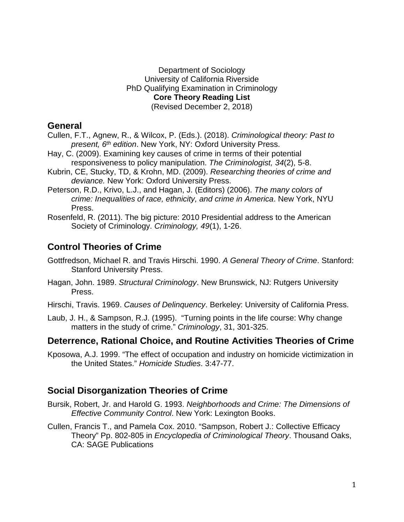#### Department of Sociology University of California Riverside PhD Qualifying Examination in Criminology **Core Theory Reading List** (Revised December 2, 2018)

# **General**

- Cullen, F.T., Agnew, R., & Wilcox, P. (Eds.). (2018). *Criminological theory: Past to present, 6th edition*. New York, NY: Oxford University Press.
- Hay, C. (2009). Examining key causes of crime in terms of their potential responsiveness to policy manipulation. *The Criminologist, 34*(2), 5-8.
- Kubrin, CE, Stucky, TD, & Krohn, MD. (2009). *Researching theories of crime and deviance.* New York: Oxford University Press.
- Peterson, R.D., Krivo, L.J., and Hagan, J. (Editors) (2006). *The many colors of crime: Inequalities of race, ethnicity, and crime in America*. New York, NYU Press.
- Rosenfeld, R. (2011). The big picture: 2010 Presidential address to the American Society of Criminology. *Criminology, 49*(1), 1-26.

# **Control Theories of Crime**

- Gottfredson, Michael R. and Travis Hirschi. 1990. *A General Theory of Crime*. Stanford: Stanford University Press.
- Hagan, John. 1989. *Structural Criminology*. New Brunswick, NJ: Rutgers University Press.
- Hirschi, Travis. 1969. *Causes of Delinquency*. Berkeley: University of California Press.
- Laub, J. H., & Sampson, R.J. (1995). "Turning points in the life course: Why change matters in the study of crime." *Criminology*, 31, 301-325.

# **Deterrence, Rational Choice, and Routine Activities Theories of Crime**

Kposowa, A.J. 1999. "The effect of occupation and industry on homicide victimization in the United States." *Homicide Studies*. 3:47-77.

# **Social Disorganization Theories of Crime**

- Bursik, Robert, Jr. and Harold G. 1993. *Neighborhoods and Crime: The Dimensions of Effective Community Control*. New York: Lexington Books.
- Cullen, Francis T., and Pamela Cox. 2010. "Sampson, Robert J.: Collective Efficacy Theory" Pp. 802-805 in *Encyclopedia of Criminological Theory*. Thousand Oaks, CA: SAGE Publications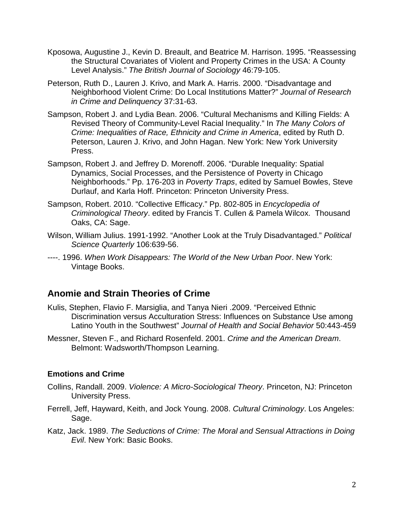- Kposowa, Augustine J., Kevin D. Breault, and Beatrice M. Harrison. 1995. "Reassessing the Structural Covariates of Violent and Property Crimes in the USA: A County Level Analysis." *The British Journal of Sociology* 46:79-105.
- Peterson, Ruth D., Lauren J. Krivo, and Mark A. Harris. 2000. "Disadvantage and Neighborhood Violent Crime: Do Local Institutions Matter?" *Journal of Research in Crime and Delinquency* 37:31-63.
- Sampson, Robert J. and Lydia Bean. 2006. "Cultural Mechanisms and Killing Fields: A Revised Theory of Community-Level Racial Inequality." In *The Many Colors of Crime: Inequalities of Race, Ethnicity and Crime in America*, edited by Ruth D. Peterson, Lauren J. Krivo, and John Hagan. New York: New York University Press.
- Sampson, Robert J. and Jeffrey D. Morenoff. 2006. "Durable Inequality: Spatial Dynamics, Social Processes, and the Persistence of Poverty in Chicago Neighborhoods." Pp. 176-203 in *Poverty Traps*, edited by Samuel Bowles, Steve Durlauf, and Karla Hoff. Princeton: Princeton University Press.
- Sampson, Robert. 2010. "Collective Efficacy." Pp. 802-805 in *Encyclopedia of Criminological Theory*. edited by Francis T. Cullen & Pamela Wilcox. Thousand Oaks, CA: Sage.
- Wilson, William Julius. 1991-1992. "Another Look at the Truly Disadvantaged." *Political Science Quarterly* 106:639-56.
- ----. 1996. *When Work Disappears: The World of the New Urban Poor*. New York: Vintage Books.

# **Anomie and Strain Theories of Crime**

- Kulis, Stephen, Flavio F. Marsiglia, and Tanya Nieri .2009. "Perceived Ethnic Discrimination versus Acculturation Stress: Influences on Substance Use among Latino Youth in the Southwest" *Journal of Health and Social Behavior* 50:443-459
- Messner, Steven F., and Richard Rosenfeld. 2001. *Crime and the American Dream*. Belmont: Wadsworth/Thompson Learning.

#### **Emotions and Crime**

- Collins, Randall. 2009. *Violence: A Micro-Sociological Theory*. Princeton, NJ: Princeton University Press.
- Ferrell, Jeff, Hayward, Keith, and Jock Young. 2008. *Cultural Criminology*. Los Angeles: Sage.
- Katz, Jack. 1989. *The Seductions of Crime: The Moral and Sensual Attractions in Doing Evil*. New York: Basic Books.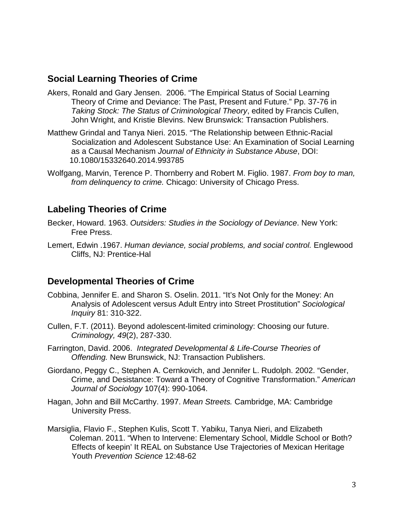# **Social Learning Theories of Crime**

- Akers, Ronald and Gary Jensen. 2006. "The Empirical Status of Social Learning Theory of Crime and Deviance: The Past, Present and Future." Pp. 37-76 in *Taking Stock: The Status of Criminological Theory*, edited by Francis Cullen, John Wright, and Kristie Blevins. New Brunswick: Transaction Publishers.
- Matthew Grindal and Tanya Nieri. 2015. "The Relationship between Ethnic-Racial Socialization and Adolescent Substance Use: An Examination of Social Learning as a Causal Mechanism *Journal of Ethnicity in Substance Abuse*, DOI: 10.1080/15332640.2014.993785
- Wolfgang, Marvin, Terence P. Thornberry and Robert M. Figlio. 1987. *From boy to man, from delinquency to crime.* Chicago: University of Chicago Press.

# **Labeling Theories of Crime**

- Becker, Howard. 1963. *Outsiders: Studies in the Sociology of Deviance*. New York: Free Press.
- Lemert, Edwin .1967. *Human deviance, social problems, and social control.* Englewood Cliffs, NJ: Prentice-Hal

### **Developmental Theories of Crime**

- Cobbina, Jennifer E. and Sharon S. Oselin. 2011. "It's Not Only for the Money: An Analysis of Adolescent versus Adult Entry into Street Prostitution" *Sociological Inquiry* 81: 310-322.
- Cullen, F.T. (2011). Beyond adolescent-limited criminology: Choosing our future. *Criminology, 49*(2), 287-330.
- Farrington, David. 2006. *Integrated Developmental & Life-Course Theories of Offending.* New Brunswick, NJ: Transaction Publishers.
- Giordano, Peggy C., Stephen A. Cernkovich, and Jennifer L. Rudolph. 2002. "Gender, Crime, and Desistance: Toward a Theory of Cognitive Transformation." *American Journal of Sociology* 107(4): 990-1064.
- Hagan, John and Bill McCarthy. 1997. *Mean Streets.* Cambridge, MA: Cambridge University Press.
- Marsiglia, Flavio F., Stephen Kulis, Scott T. Yabiku, Tanya Nieri, and Elizabeth Coleman. 2011. "When to Intervene: Elementary School, Middle School or Both? Effects of keepin' It REAL on Substance Use Trajectories of Mexican Heritage Youth *Prevention Science* 12:48-62